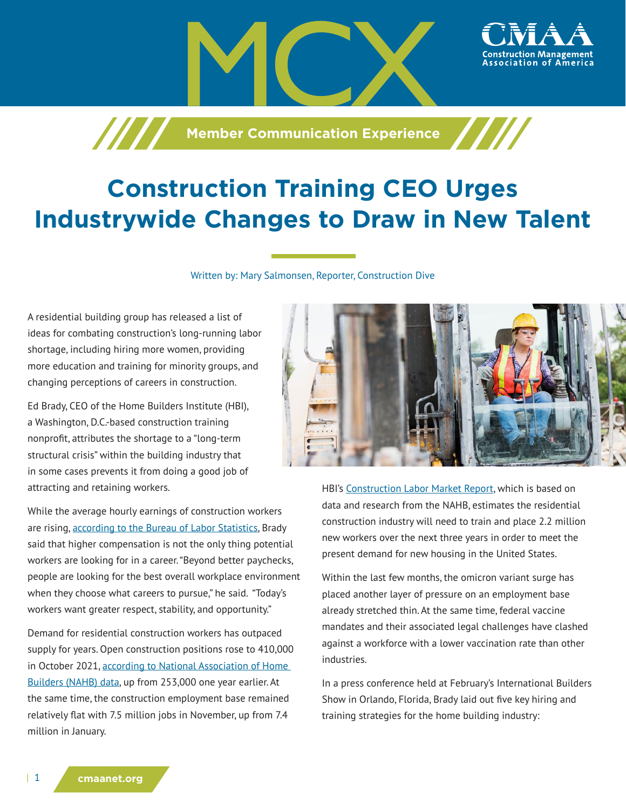**Machim School School School School School School School School School School School School School School School** 

## **Construction Training CEO Urges Industrywide Changes to Draw in New Talent**

Written by: Mary Salmonsen, Reporter, Construction Dive

A residential building group has released a list of ideas for combating construction's long-running labor shortage, including hiring more women, providing more education and training for minority groups, and changing perceptions of careers in construction.

Ed Brady, CEO of the Home Builders Institute (HBI), a Washington, D.C.-based construction training nonprofit, attributes the shortage to a "long-term structural crisis" within the building industry that in some cases prevents it from doing a good job of attracting and retaining workers.

While the average hourly earnings of construction workers are rising, [according to the Bureau of Labor Statistics](http://www.bls.gov/news.release/empsit.t19.htm), Brady said that higher compensation is not the only thing potential workers are looking for in a career. "Beyond better paychecks, people are looking for the best overall workplace environment when they choose what careers to pursue," he said. "Today's workers want greater respect, stability, and opportunity."

Demand for residential construction workers has outpaced supply for years. Open construction positions rose to 410,000 in October 2021, according to National Association of Home [Builders \(NAHB\) data,](https://eyeonhousing.org/2021/12/construction-job-openings-surge/) up from 253,000 one year earlier. At the same time, the construction employment base remained relatively flat with 7.5 million jobs in November, up from 7.4 million in January.



ssociation of America،

HBI's [Construction Labor Market Report,](https://hbi.org/wp-content/uploads/HBI_Fall_Construction_Labor_Market_Report.pdf) which is based on data and research from the NAHB, estimates the residential construction industry will need to train and place 2.2 million new workers over the next three years in order to meet the present demand for new housing in the United States.

Within the last few months, the omicron variant surge has placed another layer of pressure on an employment base already stretched thin. At the same time, federal vaccine mandates and their associated legal challenges have clashed against a workforce with a lower vaccination rate than other industries.

In a press conference held at February's International Builders Show in Orlando, Florida, Brady laid out five key hiring and training strategies for the home building industry: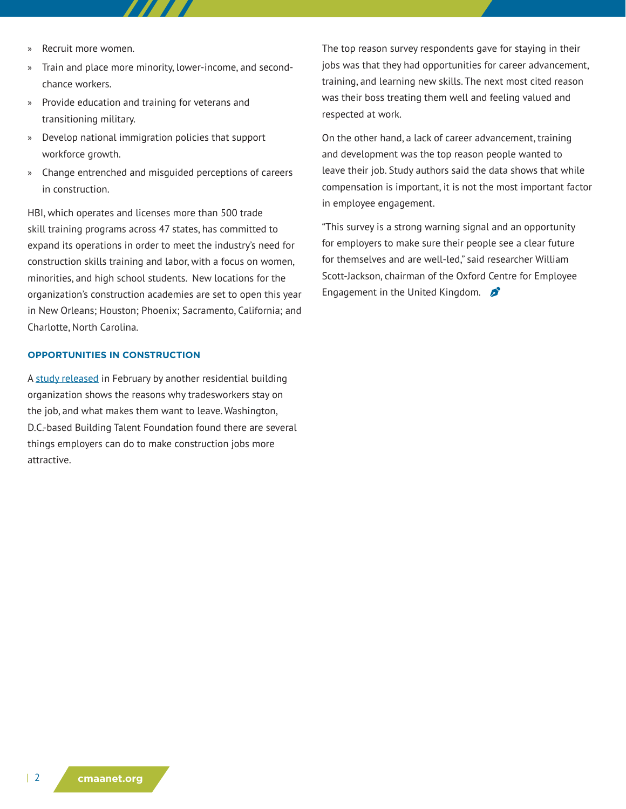- » Recruit more women.
- » Train and place more minority, lower-income, and secondchance workers.
- » Provide education and training for veterans and transitioning military.
- » Develop national immigration policies that support workforce growth.
- » Change entrenched and misguided perceptions of careers in construction.

HBI, which operates and licenses more than 500 trade skill training programs across 47 states, has committed to expand its operations in order to meet the industry's need for construction skills training and labor, with a focus on women, minorities, and high school students. New locations for the organization's construction academies are set to open this year in New Orleans; Houston; Phoenix; Sacramento, California; and Charlotte, North Carolina.

## **OPPORTUNITIES IN CONSTRUCTION**

A [study released](https://www.buildingtf.org/news/homebuilding-workforce-engagement-study-shows-that-upskilling-workers-and-career-pathways-are-the-keys-to-better-retention) in February by another residential building organization shows the reasons why tradesworkers stay on the job, and what makes them want to leave. Washington, D.C.-based Building Talent Foundation found there are several things employers can do to make construction jobs more attractive.

The top reason survey respondents gave for staying in their jobs was that they had opportunities for career advancement, training, and learning new skills. The next most cited reason was their boss treating them well and feeling valued and respected at work.

On the other hand, a lack of career advancement, training and development was the top reason people wanted to leave their job. Study authors said the data shows that while compensation is important, it is not the most important factor in employee engagement.

"This survey is a strong warning signal and an opportunity for employers to make sure their people see a clear future for themselves and are well-led," said researcher William Scott-Jackson, chairman of the Oxford Centre for Employee Engagement in the United Kingdom.